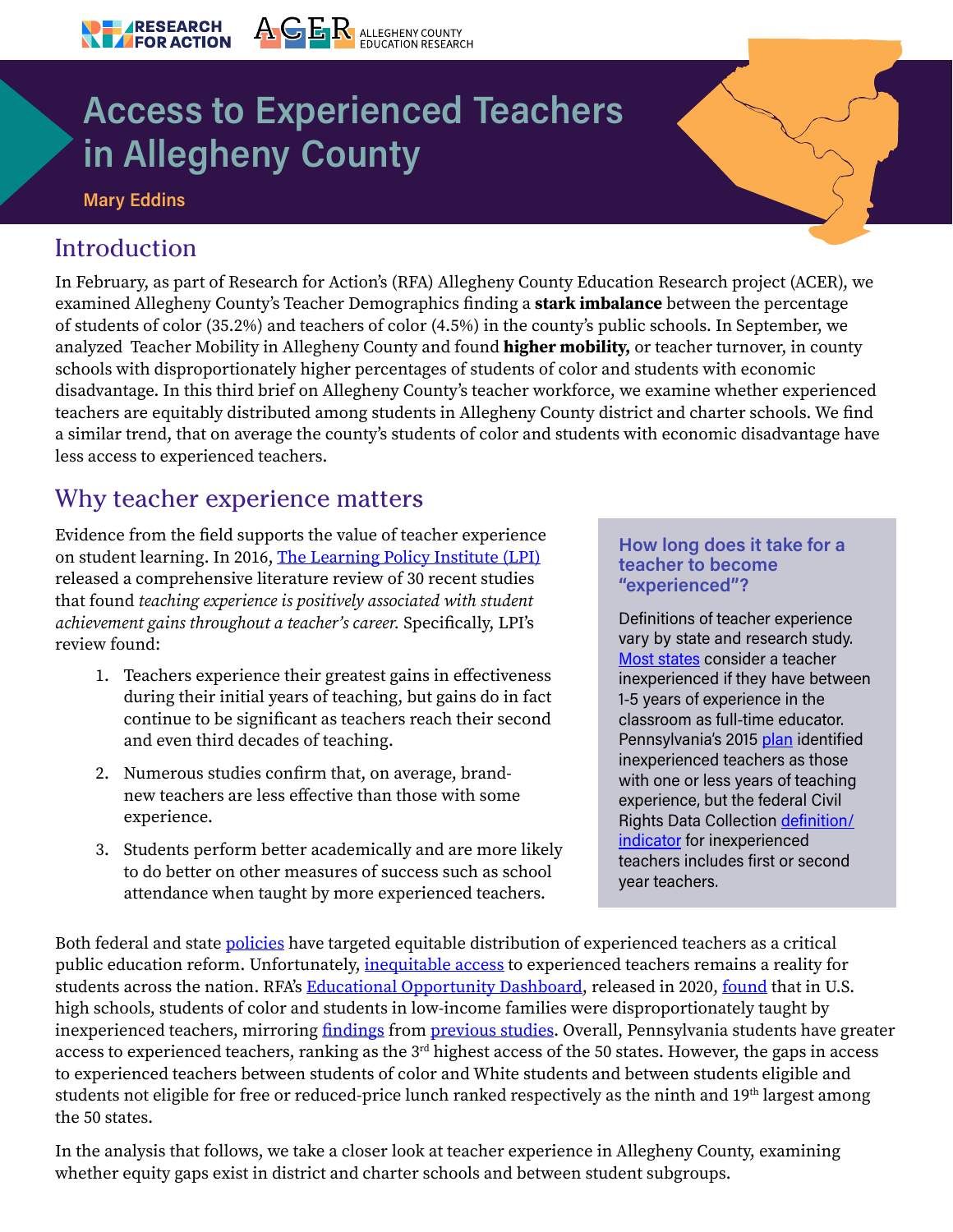# **Access to Experienced Teachers** in Allegheny County

ACER ALLEGHENY COUNTY

#### **Mary Eddins**

**ARESEARCH FOR ACTION** 

#### Introduction

In February, as part of Research for Action's (RFA) [Allegheny County Education Research](https://www.researchforaction.org/project/allegheny-county-research-education-project-acer/) project (ACER), we examined [Allegheny County's Teacher Demographics](https://www.researchforaction.org/research-resources/k-12/faq-allegheny-county-teachers-of-color/) finding a **stark imbalance** between the percentage of students of color (35.2%) and teachers of color (4.5%) in the county's public schools. In September, we analyzed [Teacher Mobility in Allegheny County](https://www.researchforaction.org/research-resources/k-12/teacher-mobility-in-allegheny-county-2014-15-through-2019-20/) and found **higher mobility,** or teacher turnover, in county schools with disproportionately higher percentages of students of color and students with economic disadvantage. In this third brief on Allegheny County's teacher workforce, we examine whether experienced teachers are equitably distributed among students in Allegheny County district and charter schools. We find a similar trend, that on average the county's students of color and students with economic disadvantage have less access to experienced teachers.

#### Why teacher experience matters

Evidence from the field supports the value of teacher experience on student learning. In 2016, [The Learning Policy Institute \(LPI\)](https://learningpolicyinstitute.org/product/does-teaching-experience-increase-teacher-effectiveness-review-research) released a comprehensive literature review of 30 recent studies that found *teaching experience is positively associated with student achievement gains throughout a teacher's career.* Specifically, LPI's review found:

- 1. Teachers experience their greatest gains in effectiveness during their initial years of teaching, but gains do in fact continue to be significant as teachers reach their second and even third decades of teaching.
- 2. Numerous studies confirm that, on average, brandnew teachers are less effective than those with some experience.
- 3. Students perform better academically and are more likely to do better on other measures of success such as school attendance when taught by more experienced teachers.

#### How long does it take for a teacher to become "experienced"?

Definitions of teacher experience vary by state and research study. [Most states](https://www2.ed.gov/programs/titleiparta/equitable/titleiiequityanalysis1031.pdf) consider a teacher inexperienced if they have between 1-5 years of experience in the classroom as full-time educator. Pennsylvania's 2015 [plan](https://www.education.pa.gov/Documents/K-12/Equitable%20Access%20to%20Excellent%20Educators/Pennsylvania%20Educator%20Equity%20State%20Plan.pdf) identified inexperienced teachers as those with one or less years of teaching experience, but the federal Civil Rights Data Collection [definition/](https://ocrdata.ed.gov/) [indicator](https://ocrdata.ed.gov/) for inexperienced teachers includes first or second year teachers.

Both federal and state [policies](https://www2.ed.gov/programs/titleiparta/equitable/titleiiequityanalysis1031.pdf) have targeted equitable distribution of experienced teachers as a critical public education reform. Unfortunately, *inequitable access* to experienced teachers remains a reality for students across the nation. RFA's [Educational Opportunity Dashboard](https://www.researchforaction.org/project/educational-opportunity-dashboard/), released in 2020, [found](https://www.researchforaction.org/wp-content/uploads/2021/07/CRDC-National-Jan2020.pdf) that in U.S. high schools, students of color and students in low-income families were disproportionately taught by inexperienced teachers, mirroring [findings](https://edtrust.org/wp-content/uploads/Ed%20Trust%20Facts%20on%20Teacher%20Equity.pdf) from [previous studies.](https://www.urban.org/sites/default/files/publication/33321/1001455-The-Impact-of-Teacher-Experience.PDF) Overall, Pennsylvania students have greater access to experienced teachers, ranking as the 3rd highest access of the 50 states. However, the gaps in access to experienced teachers between students of color and White students and between students eligible and students not eligible for free or reduced-price lunch ranked respectively as the ninth and 19<sup>th</sup> largest among the 50 states.

In the analysis that follows, we take a closer look at teacher experience in Allegheny County, examining whether equity gaps exist in district and charter schools and between student subgroups.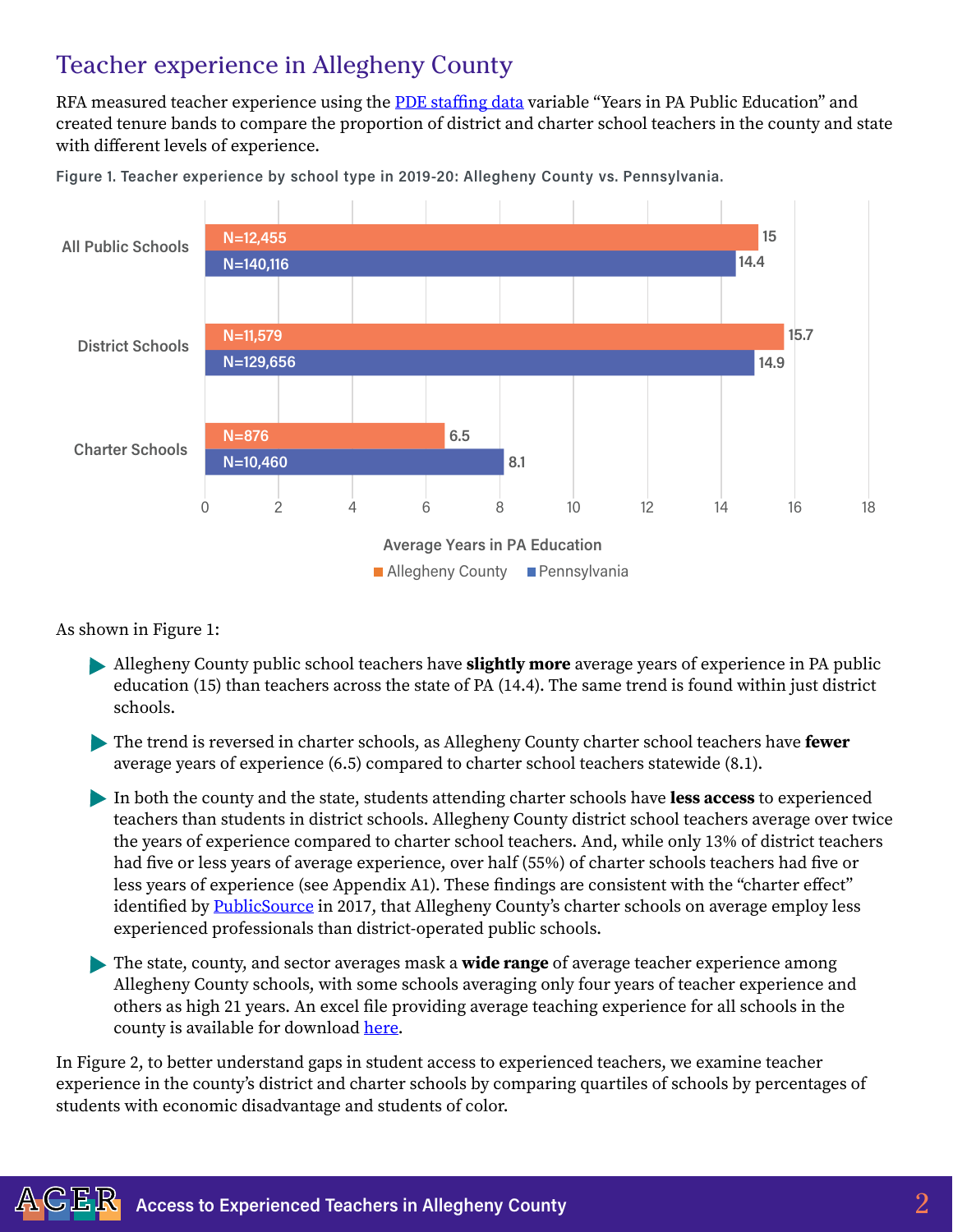### Teacher experience in Allegheny County

RFA measured teacher experience using the [PDE staffing data](https://www.education.pa.gov/DataAndReporting/ProfSupPers/Pages/ProfPersIndStaff.aspx) variable "Years in PA Public Education" and created tenure bands to compare the proportion of district and charter school teachers in the county and state with different levels of experience.



Figure 1. Teacher experience by school type in 2019-20: Allegheny County vs. Pennsylvania.

As shown in Figure 1:

- Allegheny County public school teachers have **slightly more** average years of experience in PA public education (15) than teachers across the state of PA (14.4). The same trend is found within just district schools.
- The trend is reversed in charter schools, as Allegheny County charter school teachers have **fewer** average years of experience (6.5) compared to charter school teachers statewide (8.1).
- In both the county and the state, students attending charter schools have **less access** to experienced teachers than students in district schools. Allegheny County district school teachers average over twice the years of experience compared to charter school teachers. And, while only 13% of district teachers had five or less years of average experience, over half (55%) of charter schools teachers had five or less years of experience (see Appendix A1). These findings are consistent with the "charter effect" identified by **PublicSource** in 2017, that Allegheny County's charter schools on average employ less experienced professionals than district-operated public schools.
- The state, county, and sector averages mask a **wide range** of average teacher experience among Allegheny County schools, with some schools averaging only four years of teacher experience and others as high 21 years. An excel file providing average teaching experience for all schools in the county is available for download [here](http://researchforaction.org/experience).

In Figure 2, to better understand gaps in student access to experienced teachers, we examine teacher experience in the county's district and charter schools by comparing quartiles of schools by percentages of students with economic disadvantage and students of color.

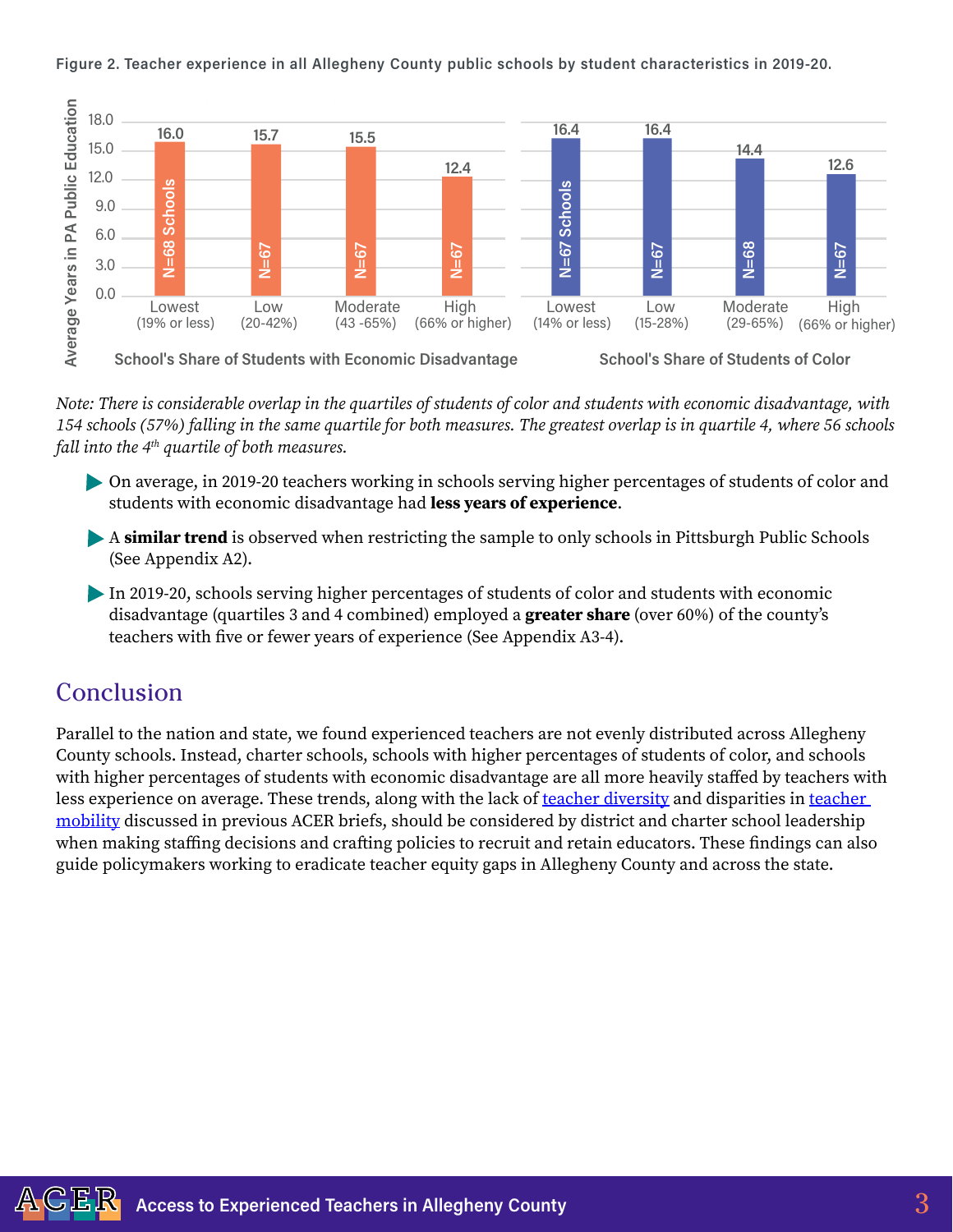

Figure 2. Teacher experience in all Allegheny County public schools by student characteristics in 2019-20.

*Note: There is considerable overlap in the quartiles of students of color and students with economic disadvantage, with 154 schools (57%) falling in the same quartile for both measures. The greatest overlap is in quartile 4, where 56 schools fall into the 4th quartile of both measures.*

On average, in 2019-20 teachers working in schools serving higher percentages of students of color and students with economic disadvantage had **less years of experience**.

- A **similar trend** is observed when restricting the sample to only schools in Pittsburgh Public Schools (See Appendix A2).
- In 2019-20, schools serving higher percentages of students of color and students with economic disadvantage (quartiles 3 and 4 combined) employed a **greater share** (over 60%) of the county's teachers with five or fewer years of experience (See Appendix A3-4).

#### Conclusion

Parallel to the nation and state, we found experienced teachers are not evenly distributed across Allegheny County schools. Instead, charter schools, schools with higher percentages of students of color, and schools with higher percentages of students with economic disadvantage are all more heavily staffed by teachers with less experience on average. These trends, along with the lack of [teacher diversity](https://www.researchforaction.org/research-resources/k-12/faq-allegheny-county-teachers-of-color/) and disparities in teacher [mobility](https://www.researchforaction.org/research-resources/k-12/teacher-mobility-in-allegheny-county-2014-15-through-2019-20/) discussed in previous ACER briefs, should be considered by district and charter school leadership when making staffing decisions and crafting policies to recruit and retain educators. These findings can also guide policymakers working to eradicate teacher equity gaps in Allegheny County and across the state.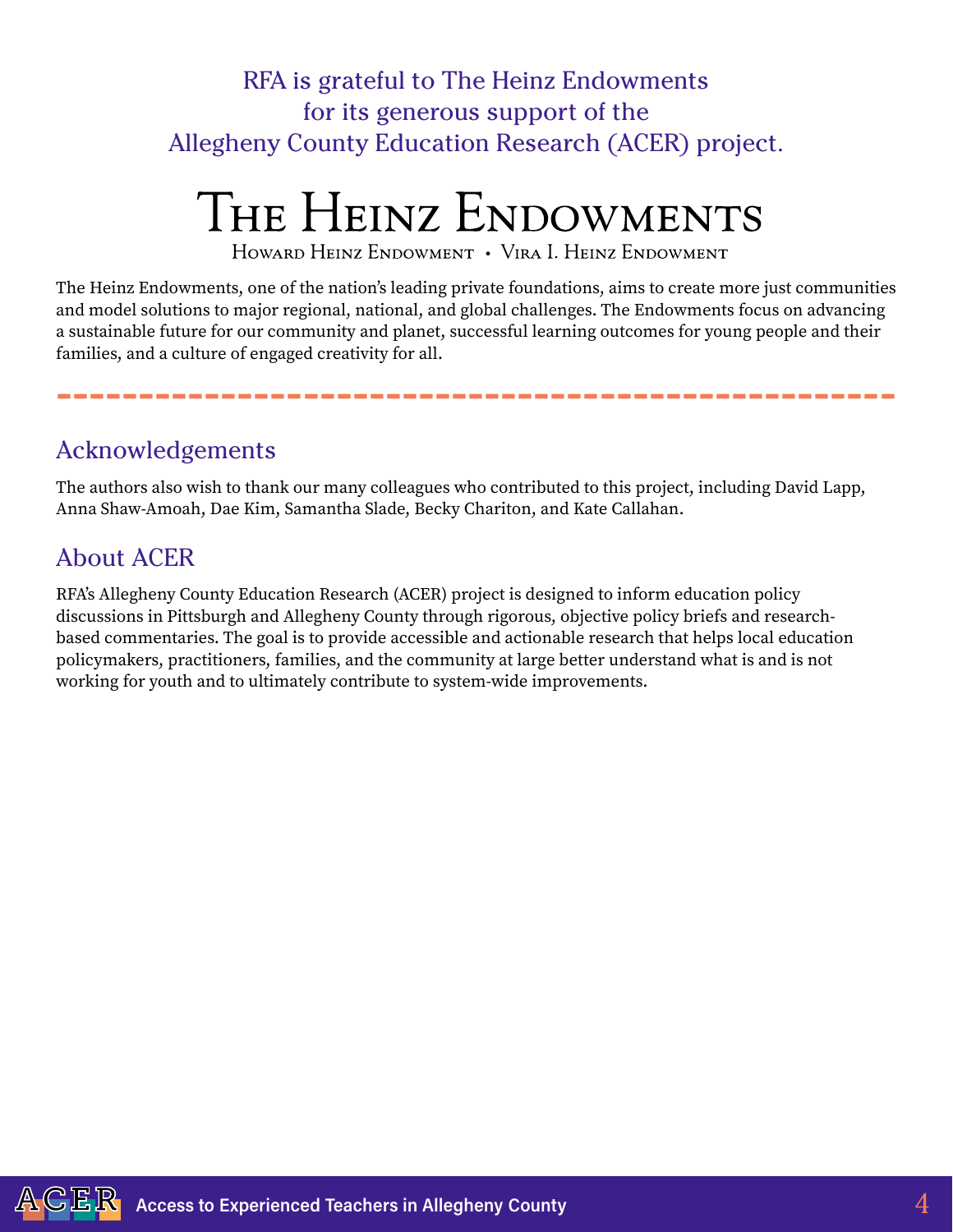## RFA is grateful to The Heinz Endowments for its generous support of the Allegheny County Education Research (ACER) project.

# THE HEINZ ENDOWMENTS

HOWARD HEINZ ENDOWMENT . VIRA I. HEINZ ENDOWMENT

The Heinz Endowments, one of the nation's leading private foundations, aims to create more just communities and model solutions to major regional, national, and global challenges. The Endowments focus on advancing a sustainable future for our community and planet, successful learning outcomes for young people and their families, and a culture of engaged creativity for all.

---------------------------------------------------

#### Acknowledgements

The authors also wish to thank our many colleagues who contributed to this project, including David Lapp, Anna Shaw-Amoah, Dae Kim, Samantha Slade, Becky Chariton, and Kate Callahan.

#### About ACER

RFA's Allegheny County Education Research (ACER) project is designed to inform education policy discussions in Pittsburgh and Allegheny County through rigorous, objective policy briefs and researchbased commentaries. The goal is to provide accessible and actionable research that helps local education policymakers, practitioners, families, and the community at large better understand what is and is not working for youth and to ultimately contribute to system-wide improvements.

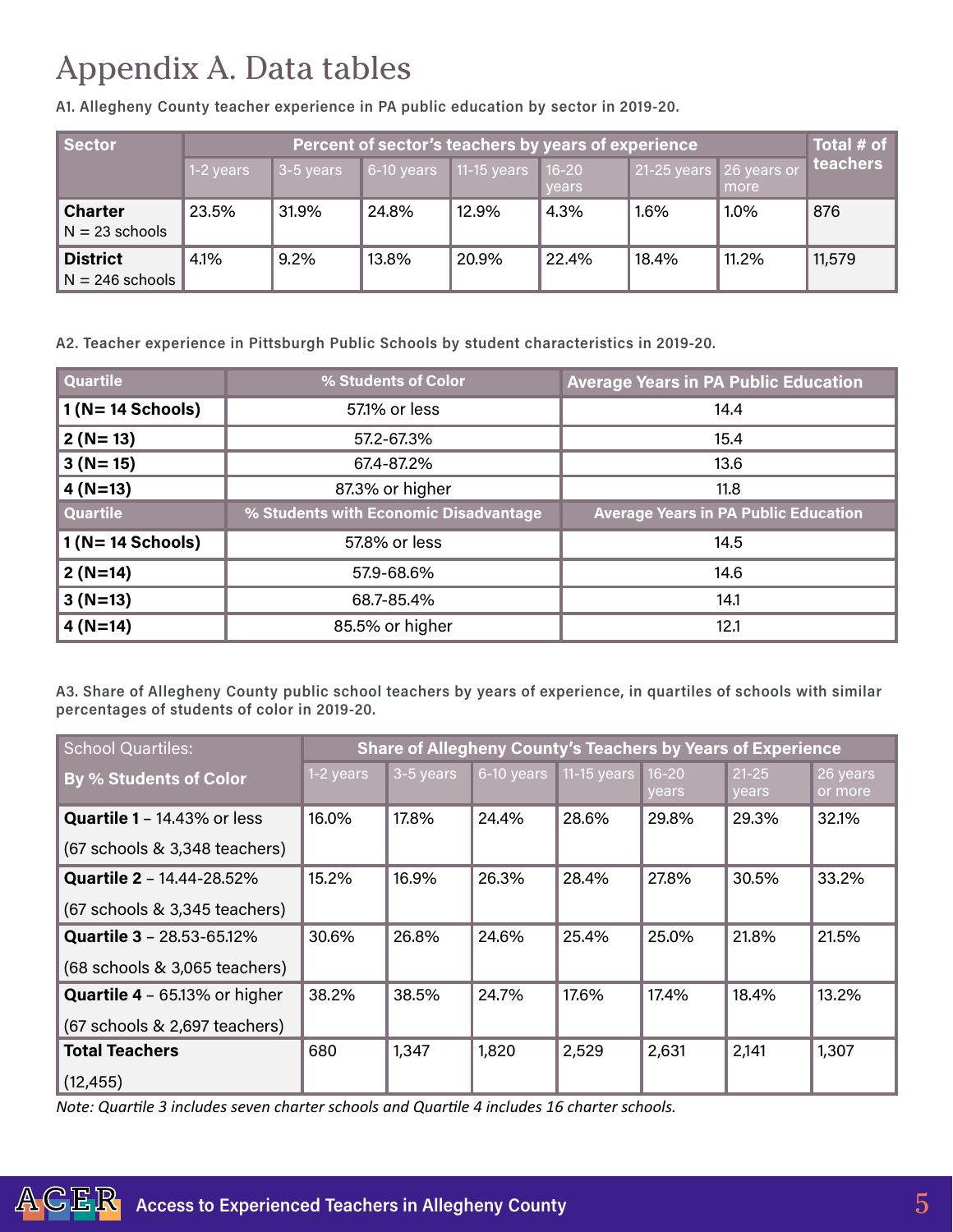## Appendix A. Data tables

A1. Allegheny County teacher experience in PA public education by sector in 2019-20.

| Sector            | Percent of sector's teachers by years of experience |           |       |                              |       |                         |         | Total # of |
|-------------------|-----------------------------------------------------|-----------|-------|------------------------------|-------|-------------------------|---------|------------|
|                   | $1-2$ years                                         | 3-5 years |       | 6-10 years 11-15 years 16-20 |       | 21-25 years 26 years or |         | teachers   |
|                   |                                                     |           |       |                              | vears |                         | more    |            |
| <b>Charter</b>    | 23.5%                                               | 31.9%     | 24.8% | 12.9%                        | 4.3%  | 1.6%                    | $1.0\%$ | 876        |
| $N = 23$ schools  |                                                     |           |       |                              |       |                         |         |            |
| <b>District</b>   | 4.1%                                                | 9.2%      | 13.8% | 20,9%                        | 22.4% | 18.4%                   | 11.2%   | 11,579     |
| $N = 246$ schools |                                                     |           |       |                              |       |                         |         |            |

A2. Teacher experience in Pittsburgh Public Schools by student characteristics in 2019-20.

| <b>Quartile</b>   | % Students of Color                   | <b>Average Years in PA Public Education</b> |  |  |  |  |
|-------------------|---------------------------------------|---------------------------------------------|--|--|--|--|
| $1(N=14$ Schools) | 57.1% or less                         | 14.4                                        |  |  |  |  |
| $2(N=13)$         | 57.2-67.3%                            | 15.4                                        |  |  |  |  |
| $3(N=15)$         | 67.4-87.2%                            | 13.6                                        |  |  |  |  |
| $4(N=13)$         | 87.3% or higher                       | 11.8                                        |  |  |  |  |
| <b>Quartile</b>   | % Students with Economic Disadvantage | <b>Average Years in PA Public Education</b> |  |  |  |  |
| $1(N=14$ Schools) | 57.8% or less                         | 14.5                                        |  |  |  |  |
| $2(N=14)$         | 57.9-68.6%                            | 14.6                                        |  |  |  |  |
| $3(N=13)$         | 68.7-85.4%                            | 14.1                                        |  |  |  |  |
| $4(N=14)$         | 85.5% or higher                       | 12.1                                        |  |  |  |  |

A3. Share of Allegheny County public school teachers by years of experience, in quartiles of schools with similar percentages of students of color in 2019-20.

| <b>School Quartiles:</b>             | Share of Allegheny County's Teachers by Years of Experience |           |            |               |                           |                    |                     |  |
|--------------------------------------|-------------------------------------------------------------|-----------|------------|---------------|---------------------------|--------------------|---------------------|--|
| <b>By % Students of Color</b>        | 1-2 years                                                   | 3-5 years | 6-10 years | $11-15$ years | $16 - 20$<br><b>vears</b> | $21 - 25$<br>years | 26 years<br>or more |  |
| Quartile 1 - 14.43% or less          | 16.0%                                                       | 17.8%     | 24.4%      | 28.6%         | 29.8%                     | 29.3%              | 32.1%               |  |
| (67 schools & 3,348 teachers)        |                                                             |           |            |               |                           |                    |                     |  |
| <b>Quartile 2 - 14.44-28.52%</b>     | 15.2%                                                       | 16.9%     | 26.3%      | 28.4%         | 27.8%                     | 30.5%              | 33.2%               |  |
| (67 schools & 3,345 teachers)        |                                                             |           |            |               |                           |                    |                     |  |
| <b>Quartile 3 - 28.53-65.12%</b>     | 30.6%                                                       | 26.8%     | 24.6%      | 25.4%         | 25.0%                     | 21.8%              | 21.5%               |  |
| (68 schools & 3,065 teachers)        |                                                             |           |            |               |                           |                    |                     |  |
| <b>Quartile 4</b> - 65.13% or higher | 38.2%                                                       | 38.5%     | 24.7%      | 17.6%         | 17.4%                     | 18.4%              | 13.2%               |  |
| (67 schools & 2,697 teachers)        |                                                             |           |            |               |                           |                    |                     |  |
| <b>Total Teachers</b>                | 680                                                         | 1,347     | 1,820      | 2,529         | 2,631                     | 2,141              | 1,307               |  |
| (12, 455)                            |                                                             |           |            |               |                           |                    |                     |  |

*Note: Quartile 3 includes seven charter schools and Quartile 4 includes 16 charter schools.*